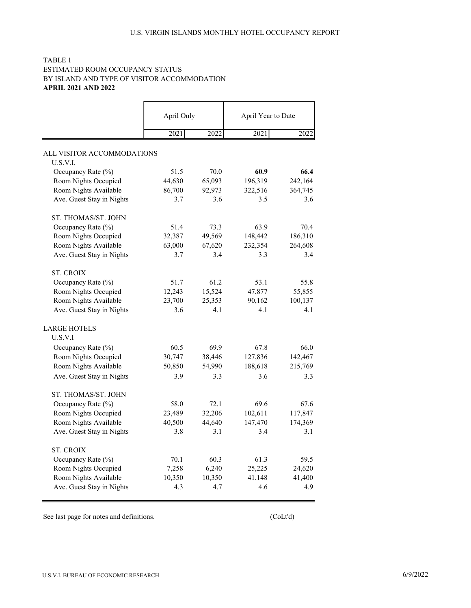# TABLE 1 ESTIMATED ROOM OCCUPANCY STATUS BY ISLAND AND TYPE OF VISITOR ACCOMMODATION APRIL 2021 AND 2022

|                            | April Only |        | April Year to Date |         |
|----------------------------|------------|--------|--------------------|---------|
|                            | 2021       | 2022   | 2021               | 2022    |
| ALL VISITOR ACCOMMODATIONS |            |        |                    |         |
| U.S.V.I.                   |            |        |                    |         |
| Occupancy Rate (%)         | 51.5       | 70.0   | 60.9               | 66.4    |
| Room Nights Occupied       | 44,630     | 65,093 | 196,319            | 242,164 |
| Room Nights Available      | 86,700     | 92,973 | 322,516            | 364,745 |
| Ave. Guest Stay in Nights  | 3.7        | 3.6    | 3.5                | 3.6     |
| ST. THOMAS/ST. JOHN        |            |        |                    |         |
| Occupancy Rate (%)         | 51.4       | 73.3   | 63.9               | 70.4    |
| Room Nights Occupied       | 32,387     | 49,569 | 148,442            | 186,310 |
| Room Nights Available      | 63,000     | 67,620 | 232,354            | 264,608 |
| Ave. Guest Stay in Nights  | 3.7        | 3.4    | 3.3                | 3.4     |
| <b>ST. CROIX</b>           |            |        |                    |         |
| Occupancy Rate (%)         | 51.7       | 61.2   | 53.1               | 55.8    |
| Room Nights Occupied       | 12,243     | 15,524 | 47,877             | 55,855  |
| Room Nights Available      | 23,700     | 25,353 | 90,162             | 100,137 |
| Ave. Guest Stay in Nights  | 3.6        | 4.1    | 4.1                | 4.1     |
| <b>LARGE HOTELS</b>        |            |        |                    |         |
| U.S.V.I                    |            |        |                    |         |
| Occupancy Rate (%)         | 60.5       | 69.9   | 67.8               | 66.0    |
| Room Nights Occupied       | 30,747     | 38,446 | 127,836            | 142,467 |
| Room Nights Available      | 50,850     | 54,990 | 188,618            | 215,769 |
| Ave. Guest Stay in Nights  | 3.9        | 3.3    | 3.6                | 3.3     |
| ST. THOMAS/ST. JOHN        |            |        |                    |         |
| Occupancy Rate (%)         | 58.0       | 72.1   | 69.6               | 67.6    |
|                            | 23,489     |        | 102,611            | 117,847 |
| Room Nights Occupied       |            | 32,206 |                    |         |
| Room Nights Available      | 40,500     | 44,640 | 147,470            | 174,369 |
| Ave. Guest Stay in Nights  | 3.8        | 3.1    | 3.4                | 3.1     |
| <b>ST. CROIX</b>           |            |        |                    |         |
| Occupancy Rate (%)         | 70.1       | 60.3   | 61.3               | 59.5    |
| Room Nights Occupied       | 7,258      | 6,240  | 25,225             | 24,620  |
| Room Nights Available      | 10,350     | 10,350 | 41,148             | 41,400  |
| Ave. Guest Stay in Nights  | 4.3        | 4.7    | 4.6                | 4.9     |

See last page for notes and definitions. (CoLt'd)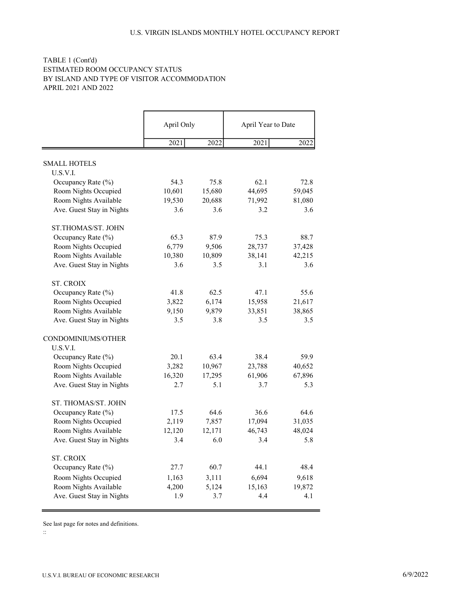# TABLE 1 (Cont'd) ESTIMATED ROOM OCCUPANCY STATUS BY ISLAND AND TYPE OF VISITOR ACCOMMODATION APRIL 2021 AND 2022

|                           | April Only |        | April Year to Date |        |
|---------------------------|------------|--------|--------------------|--------|
|                           | 2021       | 2022   | 2021               | 2022   |
| <b>SMALL HOTELS</b>       |            |        |                    |        |
| U.S.V.I.                  |            |        |                    |        |
| Occupancy Rate (%)        | 54.3       | 75.8   | 62.1               | 72.8   |
| Room Nights Occupied      | 10,601     | 15,680 | 44,695             | 59,045 |
| Room Nights Available     | 19,530     | 20,688 | 71,992             | 81,080 |
| Ave. Guest Stay in Nights | 3.6        | 3.6    | 3.2                | 3.6    |
| ST.THOMAS/ST. JOHN        |            |        |                    |        |
| Occupancy Rate (%)        | 65.3       | 87.9   | 75.3               | 88.7   |
| Room Nights Occupied      | 6,779      | 9,506  | 28,737             | 37,428 |
| Room Nights Available     | 10,380     | 10,809 | 38,141             | 42,215 |
| Ave. Guest Stay in Nights | 3.6        | 3.5    | 3.1                | 3.6    |
| <b>ST. CROIX</b>          |            |        |                    |        |
| Occupancy Rate (%)        | 41.8       | 62.5   | 47.1               | 55.6   |
| Room Nights Occupied      | 3,822      | 6,174  | 15,958             | 21,617 |
| Room Nights Available     | 9,150      | 9,879  | 33,851             | 38,865 |
| Ave. Guest Stay in Nights | 3.5        | 3.8    | 3.5                | 3.5    |
| CONDOMINIUMS/OTHER        |            |        |                    |        |
| U.S.V.I.                  |            |        |                    |        |
| Occupancy Rate (%)        | 20.1       | 63.4   | 38.4               | 59.9   |
| Room Nights Occupied      | 3,282      | 10,967 | 23,788             | 40,652 |
| Room Nights Available     | 16,320     | 17,295 | 61,906             | 67,896 |
| Ave. Guest Stay in Nights | 2.7        | 5.1    | 3.7                | 5.3    |
| ST. THOMAS/ST. JOHN       |            |        |                    |        |
| Occupancy Rate (%)        | 17.5       | 64.6   | 36.6               | 64.6   |
| Room Nights Occupied      | 2,119      | 7,857  | 17,094             | 31,035 |
| Room Nights Available     | 12,120     | 12,171 | 46,743             | 48,024 |
| Ave. Guest Stay in Nights | 3.4        | 6.0    | 3.4                | 5.8    |
| <b>ST. CROIX</b>          |            |        |                    |        |
| Occupancy Rate (%)        | 27.7       | 60.7   | 44.1               | 48.4   |
| Room Nights Occupied      | 1,163      | 3,111  | 6,694              | 9,618  |
| Room Nights Available     | 4,200      | 5,124  | 15,163             | 19,872 |
| Ave. Guest Stay in Nights | 1.9        | 3.7    | 4.4                | 4.1    |

See last page for notes and definitions.

::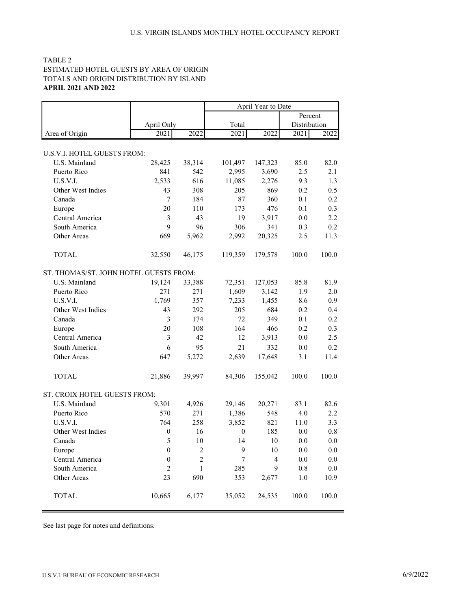# TABLE 2 ESTIMATED HOTEL GUESTS BY AREA OF ORIGIN TOTALS AND ORIGIN DISTRIBUTION BY ISLAND APRIL 2021 AND 2022

|                                        |                  |                  | April Year to Date |         |              |       |  |
|----------------------------------------|------------------|------------------|--------------------|---------|--------------|-------|--|
|                                        |                  |                  |                    | Percent |              |       |  |
|                                        | April Only       |                  | Total              |         | Distribution |       |  |
| Area of Origin                         | 2021             | 2022             | 2021               | 2022    | 2021         | 2022  |  |
|                                        |                  |                  |                    |         |              |       |  |
| U.S.V.I. HOTEL GUESTS FROM:            |                  |                  |                    |         |              |       |  |
| U.S. Mainland                          | 28,425           | 38,314           | 101,497            | 147,323 | 85.0         | 82.0  |  |
| Puerto Rico                            | 841              | 542              | 2,995              | 3,690   | 2.5          | 2.1   |  |
| U.S.V.I.                               | 2,533            | 616              | 11,085             | 2,276   | 9.3          | 1.3   |  |
| Other West Indies                      | 43               | 308              | 205                | 869     | 0.2          | 0.5   |  |
| Canada                                 | $\tau$           | 184              | 87                 | 360     | 0.1          | 0.2   |  |
| Europe                                 | 20               | 110              | 173                | 476     | 0.1          | 0.3   |  |
| Central America                        | 3                | 43               | 19                 | 3,917   | $0.0\,$      | 2.2   |  |
| South America                          | 9                | 96               | 306                | 341     | 0.3          | 0.2   |  |
| Other Areas                            | 669              | 5,962            | 2,992              | 20,325  | 2.5          | 11.3  |  |
| <b>TOTAL</b>                           | 32,550           | 46,175           | 119,359            | 179,578 | 100.0        | 100.0 |  |
| ST. THOMAS/ST. JOHN HOTEL GUESTS FROM: |                  |                  |                    |         |              |       |  |
| U.S. Mainland                          | 19,124           | 33,388           | 72,351             | 127,053 | 85.8         | 81.9  |  |
| Puerto Rico                            | 271              | 271              | 1,609              | 3,142   | 1.9          | 2.0   |  |
| U.S.V.I.                               | 1,769            | 357              | 7,233              | 1,455   | 8.6          | 0.9   |  |
| Other West Indies                      | 43               | 292              | 205                | 684     | 0.2          | 0.4   |  |
| Canada                                 | 3                | 174              | 72                 | 349     | 0.1          | 0.2   |  |
| Europe                                 | 20               | 108              | 164                | 466     | 0.2          | 0.3   |  |
| Central America                        | 3                | 42               | 12                 | 3,913   | 0.0          | 2.5   |  |
| South America                          | 6                | 95               | 21                 | 332     | $0.0\,$      | 0.2   |  |
| Other Areas                            | 647              | 5,272            | 2,639              | 17,648  | 3.1          | 11.4  |  |
| <b>TOTAL</b>                           | 21,886           | 39,997           | 84,306             | 155,042 | 100.0        | 100.0 |  |
| ST. CROIX HOTEL GUESTS FROM:           |                  |                  |                    |         |              |       |  |
| U.S. Mainland                          | 9,301            | 4,926            | 29,146             | 20,271  | 83.1         | 82.6  |  |
| Puerto Rico                            | 570              | 271              | 1,386              | 548     | 4.0          | 2.2   |  |
| U.S.V.I.                               | 764              | 258              | 3,852              | 821     | 11.0         | 3.3   |  |
| Other West Indies                      | $\mathbf{0}$     | 16               | $\boldsymbol{0}$   | 185     | 0.0          | 0.8   |  |
| Canada                                 | 5                | 10               | 14                 | 10      | 0.0          | 0.0   |  |
| Europe                                 | $\boldsymbol{0}$ | $\boldsymbol{2}$ | 9                  | 10      | 0.0          | 0.0   |  |
| Central America                        | $\boldsymbol{0}$ | $\overline{2}$   | $\boldsymbol{7}$   | 4       | $0.0\,$      | 0.0   |  |
| South America                          | $\overline{2}$   | $\mathbf{1}$     | 285                | 9       | $0.8\,$      | 0.0   |  |
| Other Areas                            | 23               | 690              | 353                | 2,677   | $1.0\,$      | 10.9  |  |
| <b>TOTAL</b>                           | 10,665           | 6,177            | 35,052             | 24,535  | 100.0        | 100.0 |  |

See last page for notes and definitions.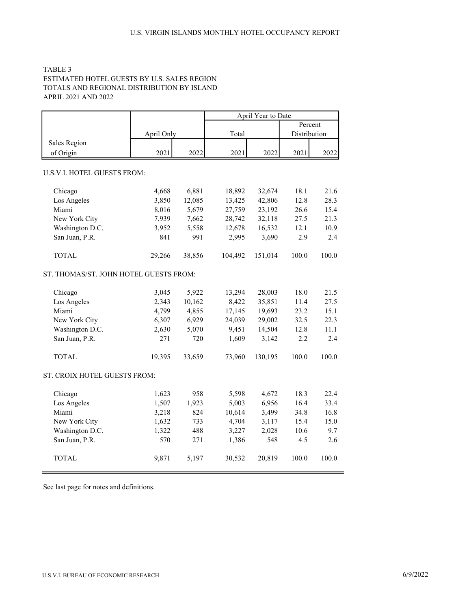### TABLE 3 ESTIMATED HOTEL GUESTS BY U.S. SALES REGION TOTALS AND REGIONAL DISTRIBUTION BY ISLAND APRIL 2021 AND 2022

|                                        |            |        |         | April Year to Date |              |         |
|----------------------------------------|------------|--------|---------|--------------------|--------------|---------|
|                                        |            |        |         |                    |              | Percent |
|                                        | April Only |        | Total   |                    | Distribution |         |
| Sales Region                           |            |        |         |                    |              |         |
| of Origin                              | 2021       | 2022   | 2021    | 2022               | 2021         | 2022    |
|                                        |            |        |         |                    |              |         |
| U.S.V.I. HOTEL GUESTS FROM:            |            |        |         |                    |              |         |
| Chicago                                | 4,668      | 6,881  | 18,892  | 32,674             | 18.1         | 21.6    |
| Los Angeles                            | 3,850      | 12,085 | 13,425  | 42,806             | 12.8         | 28.3    |
| Miami                                  | 8,016      | 5,679  | 27,759  | 23,192             | 26.6         | 15.4    |
| New York City                          | 7,939      | 7,662  | 28,742  | 32,118             | 27.5         | 21.3    |
| Washington D.C.                        | 3,952      | 5,558  | 12,678  | 16,532             | 12.1         | 10.9    |
| San Juan, P.R.                         | 841        | 991    | 2,995   | 3,690              | 2.9          | 2.4     |
| <b>TOTAL</b>                           | 29,266     | 38,856 | 104,492 | 151,014            | 100.0        | 100.0   |
| ST. THOMAS/ST. JOHN HOTEL GUESTS FROM: |            |        |         |                    |              |         |
| Chicago                                | 3,045      | 5,922  | 13,294  | 28,003             | 18.0         | 21.5    |
| Los Angeles                            | 2,343      | 10,162 | 8,422   | 35,851             | 11.4         | 27.5    |
| Miami                                  | 4,799      | 4,855  | 17,145  | 19,693             | 23.2         | 15.1    |
| New York City                          | 6,307      | 6,929  | 24,039  | 29,002             | 32.5         | 22.3    |
| Washington D.C.                        | 2,630      | 5,070  | 9,451   | 14,504             | 12.8         | 11.1    |
| San Juan, P.R.                         | 271        | 720    | 1,609   | 3,142              | 2.2          | 2.4     |
| <b>TOTAL</b>                           | 19,395     | 33,659 | 73,960  | 130,195            | 100.0        | 100.0   |
| ST. CROIX HOTEL GUESTS FROM:           |            |        |         |                    |              |         |
| Chicago                                | 1,623      | 958    | 5,598   | 4,672              | 18.3         | 22.4    |
| Los Angeles                            | 1,507      | 1,923  | 5,003   | 6,956              | 16.4         | 33.4    |
| Miami                                  | 3,218      | 824    | 10,614  | 3,499              | 34.8         | 16.8    |
| New York City                          | 1,632      | 733    | 4,704   | 3,117              | 15.4         | 15.0    |
| Washington D.C.                        | 1,322      | 488    | 3,227   | 2,028              | 10.6         | 9.7     |
| San Juan, P.R.                         | 570        | 271    | 1,386   | 548                | 4.5          | 2.6     |
| <b>TOTAL</b>                           | 9,871      | 5,197  | 30,532  | 20,819             | 100.0        | 100.0   |

See last page for notes and definitions.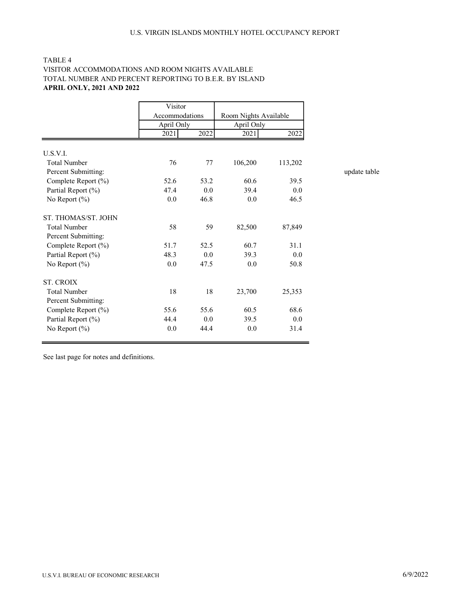# TABLE 4 VISITOR ACCOMMODATIONS AND ROOM NIGHTS AVAILABLE TOTAL NUMBER AND PERCENT REPORTING TO B.E.R. BY ISLAND APRIL ONLY, 2021 AND 2022

|                     | Visitor                      |      |                                     |         |  |
|---------------------|------------------------------|------|-------------------------------------|---------|--|
|                     | Accommodations<br>April Only |      | Room Nights Available<br>April Only |         |  |
|                     |                              |      |                                     |         |  |
|                     | 2021                         | 2022 | 2021                                | 2022    |  |
|                     |                              |      |                                     |         |  |
| U.S.V.I.            |                              |      |                                     |         |  |
| <b>Total Number</b> | 76                           | 77   | 106,200                             | 113,202 |  |
| Percent Submitting: |                              |      |                                     |         |  |
| Complete Report (%) | 52.6                         | 53.2 | 60.6                                | 39.5    |  |
| Partial Report (%)  | 47.4                         | 0.0  | 39.4                                | 0.0     |  |
| No Report $(\% )$   | 0.0                          | 46.8 | 0.0                                 | 46.5    |  |
| ST. THOMAS/ST. JOHN |                              |      |                                     |         |  |
| <b>Total Number</b> | 58                           | 59   | 82,500                              | 87,849  |  |
| Percent Submitting: |                              |      |                                     |         |  |
| Complete Report (%) | 51.7                         | 52.5 | 60.7                                | 31.1    |  |
| Partial Report (%)  | 48.3                         | 0.0  | 39.3                                | 0.0     |  |
| No Report $(\% )$   | 0.0                          | 47.5 | 0.0                                 | 50.8    |  |
| <b>ST. CROIX</b>    |                              |      |                                     |         |  |
| <b>Total Number</b> | 18                           | 18   | 23,700                              | 25,353  |  |
| Percent Submitting: |                              |      |                                     |         |  |
| Complete Report (%) | 55.6                         | 55.6 | 60.5                                | 68.6    |  |
| Partial Report (%)  | 44.4                         | 0.0  | 39.5                                | 0.0     |  |
| No Report $(\% )$   | 0.0                          | 44.4 | 0.0                                 | 31.4    |  |

See last page for notes and definitions.

update table